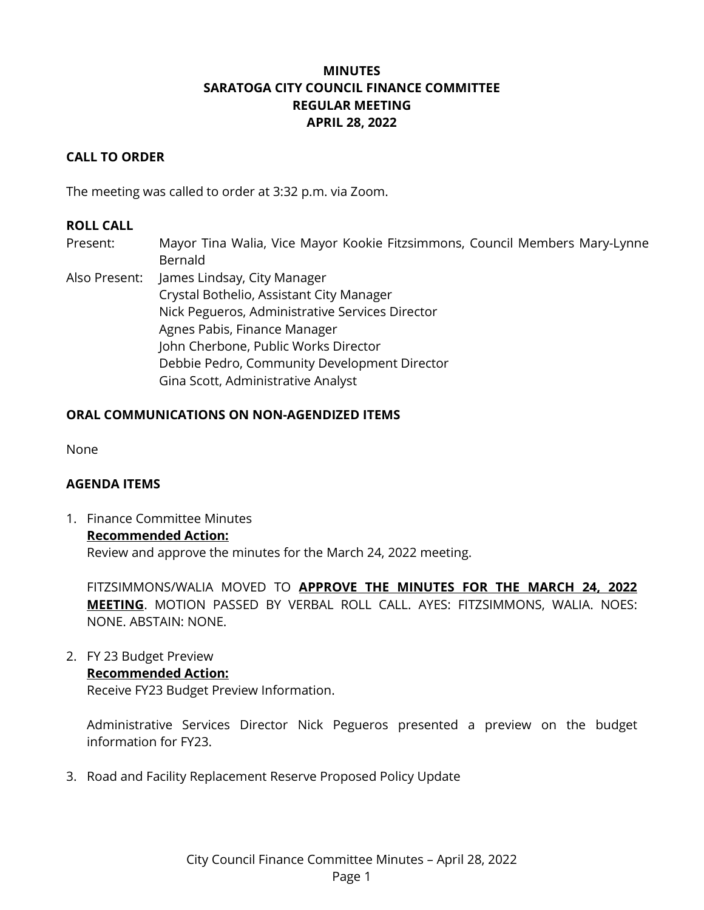# **MINUTES SARATOGA CITY COUNCIL FINANCE COMMITTEE REGULAR MEETING APRIL 28, 2022**

## **CALL TO ORDER**

The meeting was called to order at 3:32 p.m. via Zoom.

### **ROLL CALL**

- Present: Mayor Tina Walia, Vice Mayor Kookie Fitzsimmons, Council Members Mary-Lynne Bernald
- Also Present: James Lindsay, City Manager Crystal Bothelio, Assistant City Manager Nick Pegueros, Administrative Services Director Agnes Pabis, Finance Manager John Cherbone, Public Works Director Debbie Pedro, Community Development Director Gina Scott, Administrative Analyst

### **ORAL COMMUNICATIONS ON NON-AGENDIZED ITEMS**

None

#### **AGENDA ITEMS**

1. Finance Committee Minutes **Recommended Action:** Review and approve the minutes for the March 24, 2022 meeting.

FITZSIMMONS/WALIA MOVED TO **APPROVE THE MINUTES FOR THE MARCH 24, 2022 MEETING**. MOTION PASSED BY VERBAL ROLL CALL. AYES: FITZSIMMONS, WALIA. NOES: NONE. ABSTAIN: NONE.

2. FY 23 Budget Preview

## **Recommended Action:**

Receive FY23 Budget Preview Information.

Administrative Services Director Nick Pegueros presented a preview on the budget information for FY23.

3. Road and Facility Replacement Reserve Proposed Policy Update